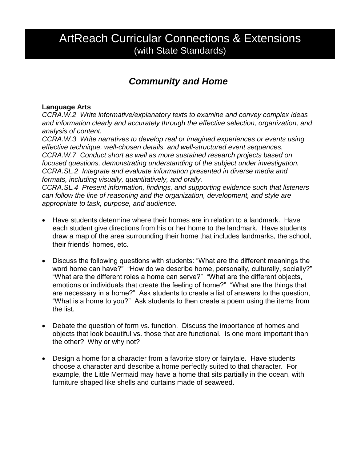# ArtReach Curricular Connections & Extensions (with State Standards)

## *Community and Home*

#### **Language Arts**

*CCRA.W.2 Write informative/explanatory texts to examine and convey complex ideas and information clearly and accurately through the effective selection, organization, and analysis of content.*

*CCRA.W.3 Write narratives to develop real or imagined experiences or events using effective technique, well-chosen details, and well-structured event sequences. CCRA.W.7 Conduct short as well as more sustained research projects based on focused questions, demonstrating understanding of the subject under investigation. CCRA.SL.2 Integrate and evaluate information presented in diverse media and formats, including visually, quantitatively, and orally.*

*CCRA.SL.4 Present information, findings, and supporting evidence such that listeners can follow the line of reasoning and the organization, development, and style are appropriate to task, purpose, and audience.*

- Have students determine where their homes are in relation to a landmark. Have each student give directions from his or her home to the landmark. Have students draw a map of the area surrounding their home that includes landmarks, the school, their friends' homes, etc.
- Discuss the following questions with students: "What are the different meanings the word home can have?" "How do we describe home, personally, culturally, socially?" "What are the different roles a home can serve?" "What are the different objects, emotions or individuals that create the feeling of home?" "What are the things that are necessary in a home?" Ask students to create a list of answers to the question, "What is a home to you?" Ask students to then create a poem using the items from the list.
- Debate the question of form vs. function. Discuss the importance of homes and objects that look beautiful vs. those that are functional. Is one more important than the other? Why or why not?
- Design a home for a character from a favorite story or fairytale. Have students choose a character and describe a home perfectly suited to that character. For example, the Little Mermaid may have a home that sits partially in the ocean, with furniture shaped like shells and curtains made of seaweed.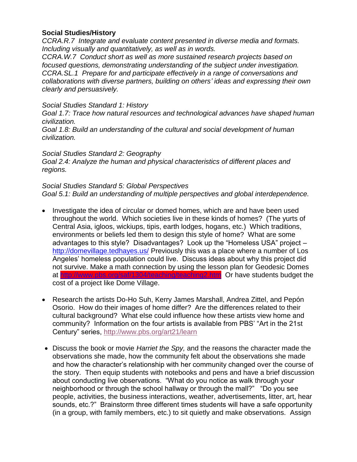#### **Social Studies/History**

*CCRA.R.7 Integrate and evaluate content presented in diverse media and formats. Including visually and quantitatively, as well as in words.*

*CCRA.W.7 Conduct short as well as more sustained research projects based on focused questions, demonstrating understanding of the subject under investigation. CCRA.SL.1 Prepare for and participate effectively in a range of conversations and collaborations with diverse partners, building on others' ideas and expressing their own clearly and persuasively.*

#### *Social Studies Standard 1: History*

*Goal 1.7: Trace how natural resources and technological advances have shaped human civilization.*

*Goal 1.8: Build an understanding of the cultural and social development of human civilization.*

#### *Social Studies Standard 2: Geography*

*Goal 2.4: Analyze the human and physical characteristics of different places and regions.*

#### *Social Studies Standard 5: Global Perspectives*

*Goal 5.1: Build an understanding of multiple perspectives and global interdependence.*

- Investigate the idea of circular or domed homes, which are and have been used throughout the world. Which societies live in these kinds of homes? (The yurts of Central Asia, igloos, wickiups, tipis, earth lodges, hogans, etc.) Which traditions, environments or beliefs led them to design this style of home? What are some advantages to this style? Disadvantages? Look up the "Homeless USA" project – <http://domevillage.tedhayes.us/> Previously this was a place where a number of Los Angeles' homeless population could live. Discuss ideas about why this project did not survive. Make a math connection by using the lesson plan for Geodesic Domes at<http://www.pbs.org/saf/1304/teaching/teaching2.htm>Or have students budget the cost of a project like Dome Village.
- Research the artists Do-Ho Suh, Kerry James Marshall, Andrea Zittel, and Pepón Osorio. How do their images of home differ? Are the differences related to their cultural background? What else could influence how these artists view home and community? Information on the four artists is available from PBS' "Art in the 21st Century" series,<http://www.pbs.org/art21/learn>
- Discuss the book or movie *Harriet the Spy,* and the reasons the character made the observations she made, how the community felt about the observations she made and how the character's relationship with her community changed over the course of the story. Then equip students with notebooks and pens and have a brief discussion about conducting live observations. "What do you notice as walk through your neighborhood or through the school hallway or through the mall?" "Do you see people, activities, the business interactions, weather, advertisements, litter, art, hear sounds, etc.?" Brainstorm three different times students will have a safe opportunity (in a group, with family members, etc.) to sit quietly and make observations. Assign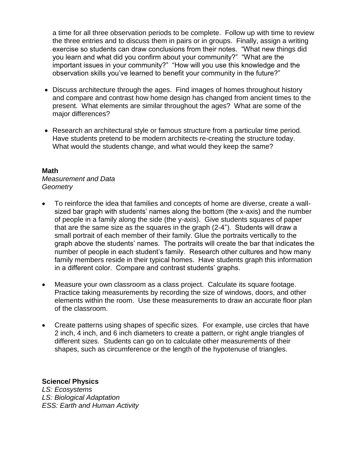a time for all three observation periods to be complete. Follow up with time to review the three entries and to discuss them in pairs or in groups. Finally, assign a writing exercise so students can draw conclusions from their notes. "What new things did you learn and what did you confirm about your community?" "What are the important issues in your community?" "How will you use this knowledge and the observation skills you've learned to benefit your community in the future?"

- Discuss architecture through the ages. Find images of homes throughout history and compare and contrast how home design has changed from ancient times to the present. What elements are similar throughout the ages? What are some of the major differences?
- Research an architectural style or famous structure from a particular time period. Have students pretend to be modern architects re-creating the structure today. What would the students change, and what would they keep the same?

#### **Math**

*Measurement and Data Geometry*

- To reinforce the idea that families and concepts of home are diverse, create a wallsized bar graph with students' names along the bottom (the x-axis) and the number of people in a family along the side (the y-axis). Give students squares of paper that are the same size as the squares in the graph (2-4"). Students will draw a small portrait of each member of their family. Glue the portraits vertically to the graph above the students' names. The portraits will create the bar that indicates the number of people in each student's family. Research other cultures and how many family members reside in their typical homes. Have students graph this information in a different color. Compare and contrast students' graphs.
- Measure your own classroom as a class project. Calculate its square footage. Practice taking measurements by recording the size of windows, doors, and other elements within the room. Use these measurements to draw an accurate floor plan of the classroom.
- Create patterns using shapes of specific sizes. For example, use circles that have 2 inch, 4 inch, and 6 inch diameters to create a pattern, or right angle triangles of different sizes. Students can go on to calculate other measurements of their shapes, such as circumference or the length of the hypotenuse of triangles.

**Science/ Physics** *LS: Ecosystems LS: Biological Adaptation ESS: Earth and Human Activity*